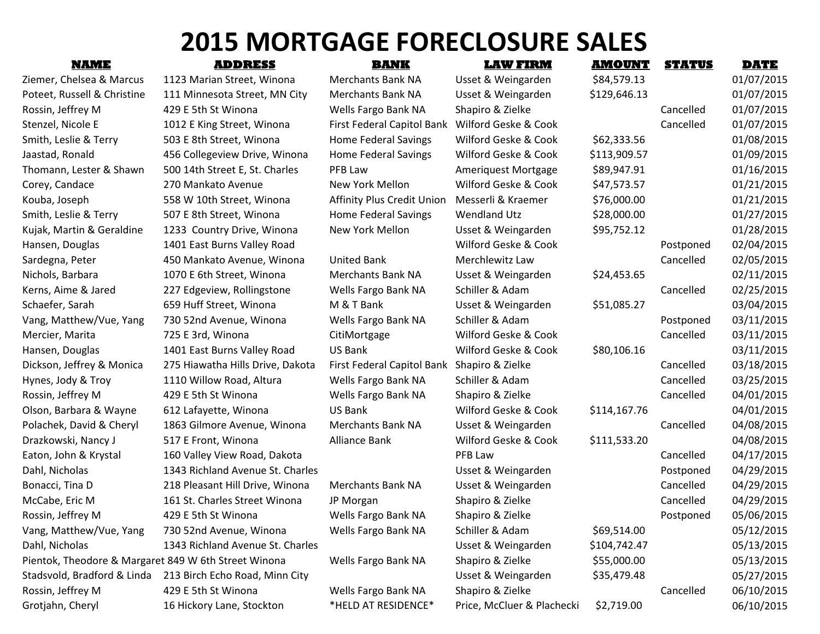## **2015 MORTGAGE FORECLOSURE SALES**

| <b>NAME</b>                                          | <b>ADDRESS</b>                   | <b>BANK</b>                                 | <b>LAW FIRM</b>            | <u>AMOUNT</u> | <u>STATUS</u> | <u>DATE</u> |
|------------------------------------------------------|----------------------------------|---------------------------------------------|----------------------------|---------------|---------------|-------------|
| Ziemer, Chelsea & Marcus                             | 1123 Marian Street, Winona       | <b>Merchants Bank NA</b>                    | Usset & Weingarden         | \$84,579.13   |               | 01/07/2015  |
| Poteet, Russell & Christine                          | 111 Minnesota Street, MN City    | <b>Merchants Bank NA</b>                    | Usset & Weingarden         | \$129,646.13  |               | 01/07/2015  |
| Rossin, Jeffrey M                                    | 429 E 5th St Winona              | Wells Fargo Bank NA                         | Shapiro & Zielke           |               | Cancelled     | 01/07/2015  |
| Stenzel, Nicole E                                    | 1012 E King Street, Winona       | First Federal Capitol Bank                  | Wilford Geske & Cook       |               | Cancelled     | 01/07/2015  |
| Smith, Leslie & Terry                                | 503 E 8th Street, Winona         | Home Federal Savings                        | Wilford Geske & Cook       | \$62,333.56   |               | 01/08/2015  |
| Jaastad, Ronald                                      | 456 Collegeview Drive, Winona    | Home Federal Savings                        | Wilford Geske & Cook       | \$113,909.57  |               | 01/09/2015  |
| Thomann, Lester & Shawn                              | 500 14th Street E, St. Charles   | PFB Law                                     | Ameriquest Mortgage        | \$89,947.91   |               | 01/16/2015  |
| Corey, Candace                                       | 270 Mankato Avenue               | New York Mellon                             | Wilford Geske & Cook       | \$47,573.57   |               | 01/21/2015  |
| Kouba, Joseph                                        | 558 W 10th Street, Winona        | <b>Affinity Plus Credit Union</b>           | Messerli & Kraemer         | \$76,000.00   |               | 01/21/2015  |
| Smith, Leslie & Terry                                | 507 E 8th Street, Winona         | Home Federal Savings                        | <b>Wendland Utz</b>        | \$28,000.00   |               | 01/27/2015  |
| Kujak, Martin & Geraldine                            | 1233 Country Drive, Winona       | New York Mellon                             | Usset & Weingarden         | \$95,752.12   |               | 01/28/2015  |
| Hansen, Douglas                                      | 1401 East Burns Valley Road      |                                             | Wilford Geske & Cook       |               | Postponed     | 02/04/2015  |
| Sardegna, Peter                                      | 450 Mankato Avenue, Winona       | <b>United Bank</b>                          | Merchlewitz Law            |               | Cancelled     | 02/05/2015  |
| Nichols, Barbara                                     | 1070 E 6th Street, Winona        | <b>Merchants Bank NA</b>                    | Usset & Weingarden         | \$24,453.65   |               | 02/11/2015  |
| Kerns, Aime & Jared                                  | 227 Edgeview, Rollingstone       | Wells Fargo Bank NA                         | Schiller & Adam            |               | Cancelled     | 02/25/2015  |
| Schaefer, Sarah                                      | 659 Huff Street, Winona          | M & T Bank                                  | Usset & Weingarden         | \$51,085.27   |               | 03/04/2015  |
| Vang, Matthew/Vue, Yang                              | 730 52nd Avenue, Winona          | Wells Fargo Bank NA                         | Schiller & Adam            |               | Postponed     | 03/11/2015  |
| Mercier, Marita                                      | 725 E 3rd, Winona                | CitiMortgage                                | Wilford Geske & Cook       |               | Cancelled     | 03/11/2015  |
| Hansen, Douglas                                      | 1401 East Burns Valley Road      | <b>US Bank</b>                              | Wilford Geske & Cook       | \$80,106.16   |               | 03/11/2015  |
| Dickson, Jeffrey & Monica                            | 275 Hiawatha Hills Drive, Dakota | First Federal Capitol Bank Shapiro & Zielke |                            |               | Cancelled     | 03/18/2015  |
| Hynes, Jody & Troy                                   | 1110 Willow Road, Altura         | Wells Fargo Bank NA                         | Schiller & Adam            |               | Cancelled     | 03/25/2015  |
| Rossin, Jeffrey M                                    | 429 E 5th St Winona              | Wells Fargo Bank NA                         | Shapiro & Zielke           |               | Cancelled     | 04/01/2015  |
| Olson, Barbara & Wayne                               | 612 Lafayette, Winona            | US Bank                                     | Wilford Geske & Cook       | \$114,167.76  |               | 04/01/2015  |
| Polachek, David & Cheryl                             | 1863 Gilmore Avenue, Winona      | Merchants Bank NA                           | Usset & Weingarden         |               | Cancelled     | 04/08/2015  |
| Drazkowski, Nancy J                                  | 517 E Front, Winona              | Alliance Bank                               | Wilford Geske & Cook       | \$111,533.20  |               | 04/08/2015  |
| Eaton, John & Krystal                                | 160 Valley View Road, Dakota     |                                             | PFB Law                    |               | Cancelled     | 04/17/2015  |
| Dahl, Nicholas                                       | 1343 Richland Avenue St. Charles |                                             | Usset & Weingarden         |               | Postponed     | 04/29/2015  |
| Bonacci, Tina D                                      | 218 Pleasant Hill Drive, Winona  | <b>Merchants Bank NA</b>                    | Usset & Weingarden         |               | Cancelled     | 04/29/2015  |
| McCabe, Eric M                                       | 161 St. Charles Street Winona    | JP Morgan                                   | Shapiro & Zielke           |               | Cancelled     | 04/29/2015  |
| Rossin, Jeffrey M                                    | 429 E 5th St Winona              | Wells Fargo Bank NA                         | Shapiro & Zielke           |               | Postponed     | 05/06/2015  |
| Vang, Matthew/Vue, Yang                              | 730 52nd Avenue, Winona          | Wells Fargo Bank NA                         | Schiller & Adam            | \$69,514.00   |               | 05/12/2015  |
| Dahl, Nicholas                                       | 1343 Richland Avenue St. Charles |                                             | Usset & Weingarden         | \$104,742.47  |               | 05/13/2015  |
| Pientok, Theodore & Margaret 849 W 6th Street Winona |                                  | Wells Fargo Bank NA                         | Shapiro & Zielke           | \$55,000.00   |               | 05/13/2015  |
| Stadsvold, Bradford & Linda                          | 213 Birch Echo Road, Minn City   |                                             | Usset & Weingarden         | \$35,479.48   |               | 05/27/2015  |
| Rossin, Jeffrey M                                    | 429 E 5th St Winona              | Wells Fargo Bank NA                         | Shapiro & Zielke           |               | Cancelled     | 06/10/2015  |
| Grotjahn, Cheryl                                     | 16 Hickory Lane, Stockton        | *HELD AT RESIDENCE*                         | Price, McCluer & Plachecki | \$2,719.00    |               | 06/10/2015  |
|                                                      |                                  |                                             |                            |               |               |             |